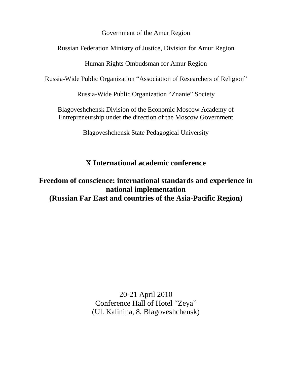Government of the Amur Region

Russian Federation Ministry of Justice, Division for Amur Region

Human Rights Ombudsman for Amur Region

Russia-Wide Public Organization "Association of Researchers of Religion"

Russia-Wide Public Organization "Znanie" Society

Blagoveshchensk Division of the Economic Moscow Academy of Entrepreneurship under the direction of the Moscow Government

Blagoveshchensk State Pedagogical University

# **X International academic conference**

**Freedom of conscience: international standards and experience in national implementation (Russian Far East and countries of the Asia-Pacific Region)**

> 20-21 April 2010 Conference Hall of Hotel "Zeya" (Ul. Kalinina, 8, Blagoveshchensk)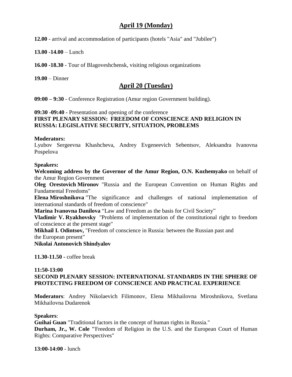# **April 19 (Monday)**

**12.00** - arrival and accommodation of participants (hotels "Asia" and "Jubilee")

**13.00 -14.00** – Lunch

**16.00 -18.30** - Tour of Blagoveshchensk, visiting religious organizations

**19.00** – Dinner

## **April 20 (Tuesday)**

**09:00 – 9:30** - Conference Registration (Amur region Government building).

#### **09:30 -09:40 -** Presentation and opening of the conference **FIRST PLENARY SESSION: FREEDOM OF CONSCIENCE AND RELIGION IN RUSSIA: LEGISLATIVE SECURITY, SITUATION, PROBLEMS**

#### **Moderators:**

Lyubov Sergeevna Khashcheva, Andrey Evgeneevich Sebentsov, Aleksandra Ivanovna Pospelova

#### **Speakers:**

**Welcoming address by the Governor of the Amur Region, O.N. Kozhemyako** on behalf of the Amur Region Government

**Oleg Orestovich Mironov** "Russia and the European Convention on Human Rights and Fundamental Freedoms"

**Elena Miroshnikova** "The significance and challenges of national implementation of international standards of freedom of conscience"

**Marina Ivanovna Danilova** "Law and Freedom as the basis for Civil Society"

**Vladimir V. Ryakhovsky** "Problems of implementation of the constitutional right to freedom of conscience at the present stage"

**Mikhail I. Odintsov,** "Freedom of conscience in Russia: between the Russian past and the European present"

**Nikolai Antonovich Shindyalov**

**11.30-11.50 -** coffee break

#### **11:50-13:00 SECOND PLENARY SESSION: INTERNATIONAL STANDARDS IN THE SPHERE OF PROTECTING FREEDOM OF CONSCIENCE AND PRACTICAL EXPERIENCE**

**Moderators**: Andrey Nikolaevich Filimonov, Elena Mikhailovna Miroshnikova, Svetlana Mikhailovna Dudarenok

#### **Speakers**:

**Guihai Guan** "Traditional factors in the concept of human rights in Russia."

**Durham, Jr., W. Cole "**Freedom of Religion in the U.S. and the European Court of Human Rights: Comparative Perspectives"

**13:00-14:00** - lunch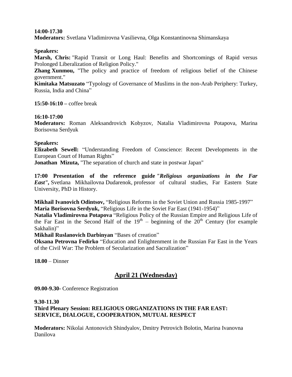#### **14:00-17.30**

**Moderators:** Svetlana Vladimirovna Vasilievna, Olga Konstantinovna Shimanskaya

#### **Speakers:**

**Marsh, Chris:** "Rapid Transit or Long Haul: Benefits and Shortcomings of Rapid versus Prolonged Liberalization of Religion Policy."

**Zhang Xunmou,** "The policy and practice of freedom of religious belief of the Chinese government."

**Kimitaka Matsuzato** "Typology of Governance of Muslims in the non-Arab Periphery: Turkey, Russia, India and China"

**15:50-16:10 –** coffee break

#### **16:10-17:00**

**Moderators:** Roman Aleksandrovich Kobyzov, Natalia Vladimirovna Potapova, Marina Borisovna Serdyuk

#### **Speakers:**

**Elizabeth Sewell:** "Understanding Freedom of Conscience: Recent Developments in the European Court of Human Rights"

**Jonathan Mizuta,** "The separation of church and state in postwar Japan"

**17:00 Presentation of the reference guide** *"Religious organizations in the Far East",* Svetlana Mikhailovna Dudarenok, professor of cultural studies, Far Eastern State University, PhD in History.

**Mikhail Ivanovich Odintsov,** "Religious Reforms in the Soviet Union and Russia 1985-1997" **Maria Borisovna Serdyuk,** "Religious Life in the Soviet Far East (1941-1954)"

**Natalia Vladimirovna Potapova** "Religious Policy of the Russian Empire and Religious Life of the Far East in the Second Half of the  $19<sup>th</sup>$  – beginning of the  $20<sup>th</sup>$  Century (for example Sakhalin)"

**Mikhail Ruslanovich Darbinyan** "Bases of creation"

**Oksana Petrovna Fedirko** "Education and Enlightenment in the Russian Far East in the Years of the Civil War: The Problem of Secularization and Sacralization"

**18.00** – Dinner

### **April 21 (Wednesday)**

**09.00-9.30-** Conference Registration

#### **9.30-11.30**

### **Third Plenary Session: RELIGIOUS ORGANIZATIONS IN THE FAR EAST: SERVICE, DIALOGUE, COOPERATION, MUTUAL RESPECT**

**Moderators:** Nikolai Antonovich Shindyalov, Dmitry Petrovich Bolotin, Marina Ivanovna Danilova